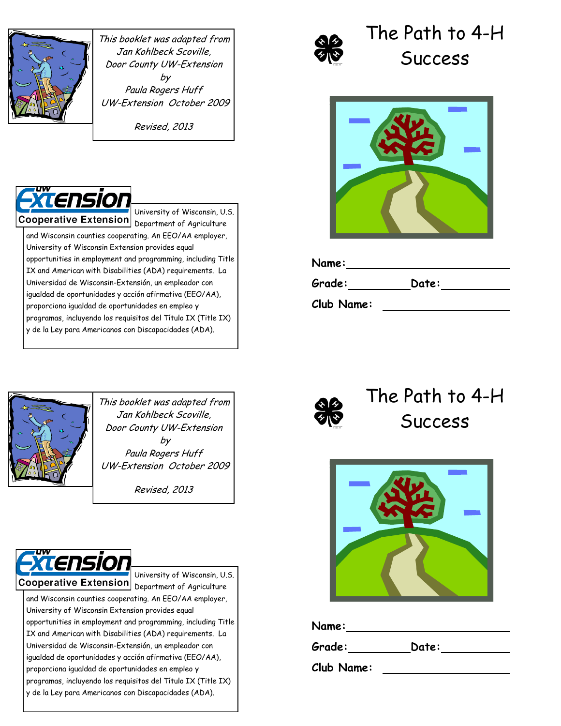

This booklet was adapted from Jan Kohlbeck Scoville, Door County UW-Extension by Paula Rogers Huff UW-Extension October 2009

Revised, 2013



University of Wisconsin, U.S. Cooperative Extension Department of Agriculture and Wisconsin counties cooperating. An EEO/AA employer, University of Wisconsin Extension provides equal opportunities in employment and programming, including Title

IX and American with Disabilities (ADA) requirements. La Universidad de Wisconsin-Extensión, un empleador con igualdad de oportunidades y acción afirmativa (EEO/AA), proporciona igualdad de oportunidades en empleo y programas, incluyendo los requisitos del Título IX (Title IX) y de la Ley para Americanos con Discapacidades (ADA).



# The Path to 4-H **Success**



| Name:      |       |  |
|------------|-------|--|
| Grade:     | Date: |  |
| Club Name: |       |  |



This booklet was adapted from Jan Kohlbeck Scoville, Door County UW-Extension by Paula Rogers Huff UW-Extension October 2009

Revised, 2013



University of Wisconsin, U.S. Cooperative Extension Department of Agriculture and Wisconsin counties cooperating. An EEO/AA employer, University of Wisconsin Extension provides equal

opportunities in employment and programming, including Title IX and American with Disabilities (ADA) requirements. La Universidad de Wisconsin-Extensión, un empleador con igualdad de oportunidades y acción afirmativa (EEO/AA), proporciona igualdad de oportunidades en empleo y programas, incluyendo los requisitos del Título IX (Title IX) y de la Ley para Americanos con Discapacidades (ADA).



The Path to 4-H Success



**Name:**

**Grade: Date:**

**Club Name:**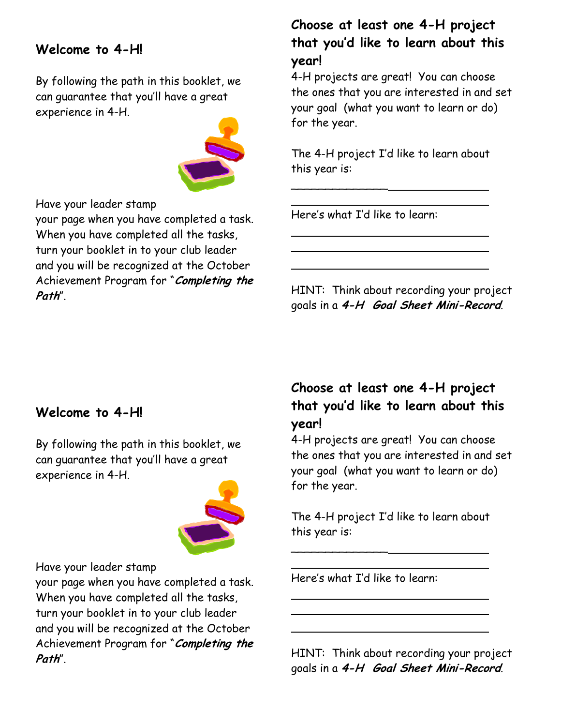#### **Welcome to 4-H!**

By following the path in this booklet, we can guarantee that you'll have a great experience in 4-H.



Have your leader stamp

your page when you have completed a task. When you have completed all the tasks, turn your booklet in to your club leader and you will be recognized at the October Achievement Program for "**Completing the Path**".

#### **Choose at least one 4-H project that you'd like to learn about this year!**

4-H projects are great! You can choose the ones that you are interested in and set your goal (what you want to learn or do) for the year.

The 4-H project I'd like to learn about this year is:

Here's what I'd like to learn:

\_\_\_\_\_\_\_\_\_\_\_\_\_\_

HINT: Think about recording your project goals in a **4-H Goal Sheet Mini-Record**.

#### **Welcome to 4-H!**

By following the path in this booklet, we can guarantee that you'll have a great experience in 4-H.



Have your leader stamp

your page when you have completed a task. When you have completed all the tasks, turn your booklet in to your club leader and you will be recognized at the October Achievement Program for "**Completing the Path**".

#### **Choose at least one 4-H project that you'd like to learn about this year!**

4-H projects are great! You can choose the ones that you are interested in and set your goal (what you want to learn or do) for the year.

The 4-H project I'd like to learn about this year is:

Here's what I'd like to learn:

\_\_\_\_\_\_\_\_\_\_\_\_\_\_

HINT: Think about recording your project goals in a **4-H Goal Sheet Mini-Record**.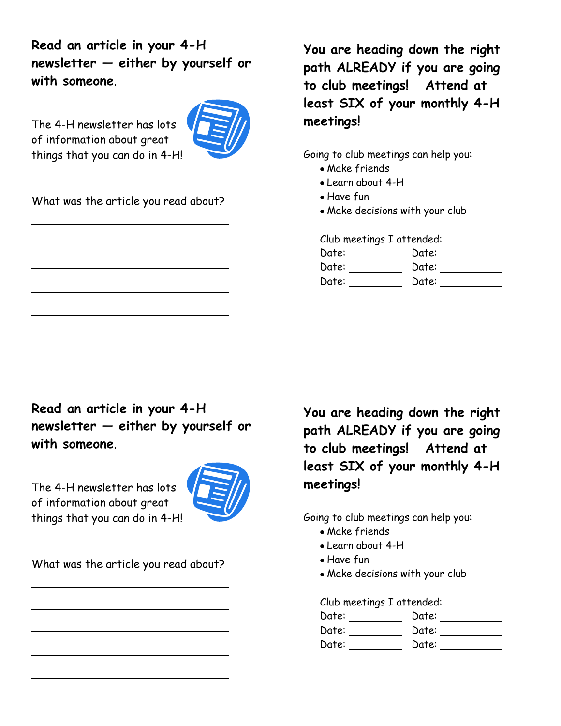**Read an article in your 4-H newsletter — either by yourself or with someone**.

The 4-H newsletter has lots of information about great things that you can do in 4-H!



What was the article you read about?

**You are heading down the right path ALREADY if you are going to club meetings! Attend at least SIX of your monthly 4-H meetings!** 

Going to club meetings can help you:

- Make friends
- Learn about 4-H
- Have fun
- Make decisions with your club

Club meetings I attended:

| Date: | Date: |  |
|-------|-------|--|
| Date: | Date: |  |
| Date: | Date: |  |

**Read an article in your 4-H newsletter — either by yourself or with someone**.

The 4-H newsletter has lots of information about great things that you can do in 4-H!



What was the article you read about?

**You are heading down the right path ALREADY if you are going to club meetings! Attend at least SIX of your monthly 4-H meetings!** 

Going to club meetings can help you:

- Make friends
- Learn about 4-H
- Have fun
- Make decisions with your club

Club meetings I attended:

Date: \_\_\_\_\_\_\_\_\_\_ Date: \_\_\_\_\_\_\_\_\_\_

Date: \_\_\_\_\_\_\_\_\_\_ Date: \_\_\_\_\_\_\_\_\_\_

Date: Date: